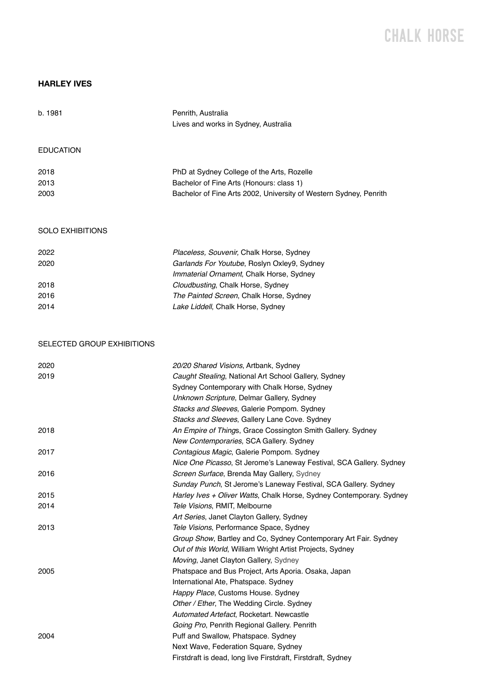## CHALK H0RSE

## **HARLEY IVES**

| b. 1981                    | Penrith, Australia                                                                  |
|----------------------------|-------------------------------------------------------------------------------------|
|                            | Lives and works in Sydney, Australia                                                |
| <b>EDUCATION</b>           |                                                                                     |
| 2018                       | PhD at Sydney College of the Arts, Rozelle                                          |
| 2013                       | Bachelor of Fine Arts (Honours: class 1)                                            |
| 2003                       | Bachelor of Fine Arts 2002, University of Western Sydney, Penrith                   |
| <b>SOLO EXHIBITIONS</b>    |                                                                                     |
| 2022                       | Placeless, Souvenir, Chalk Horse, Sydney                                            |
| 2020                       | Garlands For Youtube, Roslyn Oxley9, Sydney                                         |
|                            | Immaterial Ornament, Chalk Horse, Sydney                                            |
| 2018                       | Cloudbusting, Chalk Horse, Sydney                                                   |
| 2016                       | The Painted Screen, Chalk Horse, Sydney                                             |
| 2014                       | Lake Liddell, Chalk Horse, Sydney                                                   |
| SELECTED GROUP EXHIBITIONS |                                                                                     |
| 2020                       | 20/20 Shared Visions, Artbank, Sydney                                               |
| 2019                       | Caught Stealing, National Art School Gallery, Sydney                                |
|                            | Sydney Contemporary with Chalk Horse, Sydney                                        |
|                            | Unknown Scripture, Delmar Gallery, Sydney                                           |
|                            | Stacks and Sleeves, Galerie Pompom. Sydney                                          |
|                            | Stacks and Sleeves, Gallery Lane Cove. Sydney                                       |
| 2018                       | An Empire of Things, Grace Cossington Smith Gallery. Sydney                         |
|                            | New Contemporaries, SCA Gallery. Sydney                                             |
| 2017                       | Contagious Magic, Galerie Pompom. Sydney                                            |
|                            | Nice One Picasso, St Jerome's Laneway Festival, SCA Gallery. Sydney                 |
| 2016                       | Screen Surface, Brenda May Gallery, Sydney                                          |
|                            | Sunday Punch, St Jerome's Laneway Festival, SCA Gallery. Sydney                     |
| 2015                       | Harley Ives + Oliver Watts, Chalk Horse, Sydney Contemporary. Sydney                |
| 2014                       | Tele Visions, RMIT, Melbourne                                                       |
|                            | Art Series, Janet Clayton Gallery, Sydney                                           |
| 2013                       | Tele Visions, Performance Space, Sydney                                             |
|                            | Group Show, Bartley and Co, Sydney Contemporary Art Fair. Sydney                    |
|                            | Out of this World, William Wright Artist Projects, Sydney                           |
|                            | Moving, Janet Clayton Gallery, Sydney                                               |
| 2005                       | Phatspace and Bus Project, Arts Aporia. Osaka, Japan                                |
|                            | International Ate, Phatspace. Sydney                                                |
|                            | Happy Place, Customs House. Sydney                                                  |
|                            | Other / Ether, The Wedding Circle. Sydney                                           |
|                            | Automated Artefact, Rocketart. Newcastle                                            |
| 2004                       | Going Pro, Penrith Regional Gallery. Penrith<br>Puff and Swallow, Phatspace. Sydney |
|                            |                                                                                     |
|                            | Next Wave, Federation Square, Sydney                                                |
|                            | Firstdraft is dead, long live Firstdraft, Firstdraft, Sydney                        |